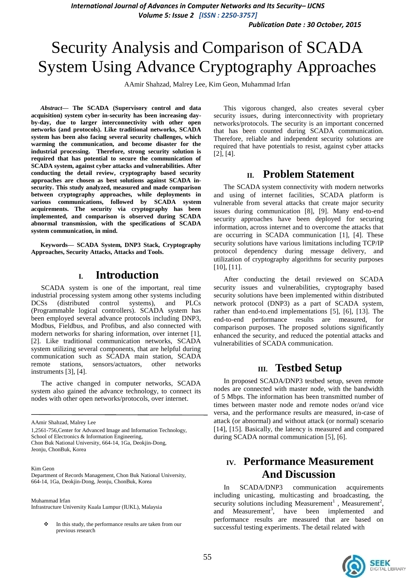*Publication Date : 30 October, 2015*

# Security Analysis and Comparison of SCADA System Using Advance Cryptography Approaches

AAmir Shahzad, Malrey Lee, Kim Geon, Muhammad Irfan

*Abstract***— The SCADA (Supervisory control and data acquisition) system cyber in-security has been increasing dayby-day, due to larger interconnectivity with other open networks (and protocols). Like traditional networks, SCADA system has been also facing several security challenges, which warming the communication, and become disaster for the industrial processing. Therefore, strong security solution is required that has potential to secure the communication of SCADA system, against cyber attacks and vulnerabilities. After conducting the detail review, cryptography based security approaches are chosen as best solutions against SCADA insecurity. This study analyzed, measured and made comparison between cryptography approaches, while deployments in various communications, followed by SCADA system acquirements. The security via cryptography has been implemented, and comparison is observed during SCADA abnormal transmission, with the specifications of SCADA system communication, in mind.** 

**Keywords— SCADA System, DNP3 Stack, Cryptography Approaches, Security Attacks, Attacks and Tools.** 

## **I. Introduction**

SCADA system is one of the important, real time industrial processing system among other systems including DCSs (distributed control systems), and PLCs (Programmable logical controllers). SCADA system has been employed several advance protocols including DNP3, Modbus, Fieldbus, and Profibus, and also connected with modern networks for sharing information, over internet [1], [2]. Like traditional communication networks, SCADA system utilizing several components, that are helpful during communication such as SCADA main station, SCADA remote stations, sensors/actuators, other networks instruments [3], [4].

The active changed in computer networks, SCADA system also gained the advance technology, to connect its nodes with other open networks/protocols, over internet.

1,2561-756,Center for Advanced Image and Information Technology, School of Electronics & Information Engineering, Chon Buk National University, 664-14, 1Ga, Deokjin-Dong, Jeonju, ChonBuk, Korea

Kim Geon

#### Muhammad Irfan

Infrastructure University Kuala Lumpur (IUKL), Malaysia

 $\cdot \cdot$  In this study, the performance results are taken from our previous research

This vigorous changed, also creates several cyber security issues, during interconnectivity with proprietary networks/protocols. The security is an important concerned that has been counted during SCADA communication. Therefore, reliable and independent security solutions are required that have potentials to resist, against cyber attacks [2], [4].

#### **II. Problem Statement**

The SCADA system connectivity with modern networks and using of internet facilities, SCADA platform is vulnerable from several attacks that create major security issues during communication [8], [9]. Many end-to-end security approaches have been deployed for securing information, across internet and to overcome the attacks that are occurring in SCADA communication [1], [4]. These security solutions have various limitations including TCP/IP protocol dependency during message delivery, and utilization of cryptography algorithms for security purposes [10], [11].

After conducting the detail reviewed on SCADA security issues and vulnerabilities, cryptography based security solutions have been implemented within distributed network protocol (DNP3) as a part of SCADA system, rather than end-to.end implementations [5], [6], [13]. The end-to-end performance results are measured, for comparison purposes. The proposed solutions significantly enhanced the security, and reduced the potential attacks and vulnerabilities of SCADA communication.

### **III. Testbed Setup**

In proposed SCADA/DNP3 testbed setup, seven remote nodes are connected with master node, with the bandwidth of 5 Mbps. The information has been transmitted number of times between master node and remote nodes or/and vice versa, and the performance results are measured, in-case of attack (or abnormal) and without attack (or normal) scenario [14], [15]. Basically, the latency is measured and compared during SCADA normal communication [5], [6].

## **IV. Performance Measurement And Discussion**

In SCADA/DNP3 communication acquirements including unicasting, multicasting and broadcasting, the security solutions including Measurement<sup>1</sup>, Measurement<sup>2</sup>, and Measurement<sup>3</sup>, have been implemented and performance results are measured that are based on successful testing experiments. The detail related with



AAmir Shahzad, Malrey Lee

Department of Records Management, Chon Buk National University, 664-14, 1Ga, Deokjin-Dong, Jeonju, ChonBuk, Korea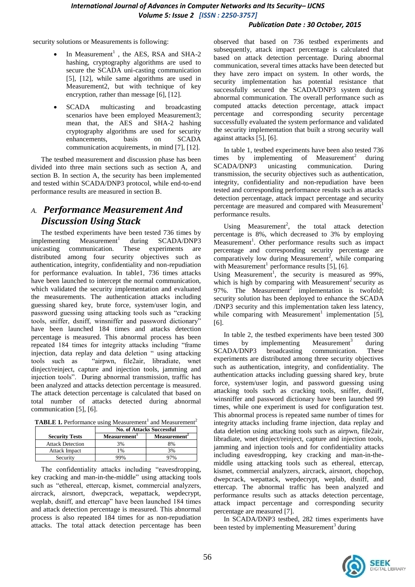#### *Publication Date : 30 October, 2015*

security solutions or Measurements is following:

- In Measurement<sup>1</sup>, the AES, RSA and SHA-2 hashing, cryptography algorithms are used to secure the SCADA uni-casting communication [5], [12], while same algorithms are used in Measurement2, but with technique of key encryption, rather than message [6], [12].
- SCADA multicasting and broadcasting scenarios have been employed Measurement3; mean that, the AES and SHA-2 hashing cryptography algorithms are used for security enhancements, basis on SCADA communication acquirements, in mind [7], [12].

The testbed measurement and discussion phase has been divided into three main sections such as section A, and section B. In section A, the security has been implemented and tested within SCADA/DNP3 protocol, while end-to-end performance results are measured in section B.

## *A. Performance Measurement And Discussion Using Stack*

The testbed experiments have been tested 736 times by  $implementing$  Measurement<sup>1</sup> during SCADA/DNP3 unicasting communication. These experiments are distributed among four security objectives such as authentication, integrity, confidentiality and non-repudiation for performance evaluation. In table1, 736 times attacks have been launched to intercept the normal communication, which validated the security implementation and evaluated the measurements. The authentication attacks including guessing shared key, brute force, system/user login, and password guessing using attacking tools such as "cracking tools, sniffer, dsniff, winsniffer and password dictionary" have been launched 184 times and attacks detection percentage is measured. This abnormal process has been repeated 184 times for integrity attacks including "frame injection, data replay and data deletion " using attacking tools such as "airpwn, file2air, libradiate, wnet dinject/reinject, capture and injection tools, jamming and injection tools". During abnormal transmission, traffic has been analyzed and attacks detection percentage is measured. The attack detection percentage is calculated that based on total number of attacks detected during abnormal communication [5], [6].

TABLE 1. Performance using Measurement<sup>1</sup> and Measurement<sup>2</sup>

|                         | <b>No. of Attacks Successful</b> |                          |
|-------------------------|----------------------------------|--------------------------|
| <b>Security Tests</b>   | Measurement <sup>1</sup>         | Measurement <sup>2</sup> |
| <b>Attack Detection</b> | 3%                               | 8%                       |
| <b>Attack Impact</b>    | l %                              | 3%                       |
| Security                |                                  |                          |

The confidentiality attacks including "eavesdropping, key cracking and man-in-the-middle" using attacking tools such as "ethereal, ettercap, kismet, commercial analyzers, aircrack, airsnort, dwepcrack, wepattack, wepdecrypt, weplab, dsniff, and ettercap" have been launched 184 times and attack detection percentage is measured. This abnormal process is also repeated 184 times for as non-repudiation attacks. The total attack detection percentage has been observed that based on 736 testbed experiments and subsequently, attack impact percentage is calculated that based on attack detection percentage. During abnormal communication, several times attacks have been detected but they have zero impact on system. In other words, the security implementation has potential resistance that successfully secured the SCADA/DNP3 system during abnormal communication. The overall performance such as computed attacks detection percentage, attack impact percentage and corresponding security percentage successfully evaluated the system performance and validated the security implementation that built a strong security wall against attacks [5], [6].

In table 1, testbed experiments have been also tested 736 times by implementing of Measurement<sup>2</sup> during SCADA/DNP3 unicasting communication. During transmission, the security objectives such as authentication, integrity, confidentiality and non-repudiation have been tested and corresponding performance results such as attacks detection percentage, attack impact percentage and security percentage are measured and compared with Measurement<sup>1</sup> performance results.

Using Measurement<sup>2</sup>, the total attack detection percentage is 8%, which decreased to 3% by employing  $M$ easurement<sup>1</sup>. Other performance results such as impact percentage and corresponding security percentage are comparatively low during Measurement<sup>2</sup>, while comparing with Measurement<sup>1</sup> performance results [5], [6].

Using Measurement<sup>1</sup>, the security is measured as  $99\%$ , which is high by comparing with Measurement<sup>2</sup> security as 97%. The Measurement<sup>2</sup> implementation is twofold; security solution has been deployed to enhance the SCADA /DNP3 security and this implementation taken less latency, while comparing with Measurement<sup>1</sup> implementation [5], [6].

In table 2, the testbed experiments have been tested 300 times by implementing Measurement<sup>3</sup> during SCADA/DNP3 broadcasting communication. These experiments are distributed among three security objectives such as authentication, integrity, and confidentiality. The authentication attacks including guessing shared key, brute force, system/user login, and password guessing using attacking tools such as cracking tools, sniffer, dsniff, winsniffer and password dictionary have been launched 99 times, while one experiment is used for configuration test. This abnormal process is repeated same number of times for integrity attacks including frame injection, data replay and data deletion using attacking tools such as airpwn, file2air, libradiate, wnet dinject/reinject, capture and injection tools, jamming and injection tools and for confidentiality attacks including eavesdropping, key cracking and man-in-themiddle using attacking tools such as ethereal, ettercap, kismet, commercial analyzers, aircrack, airsnort, chopchop, dwepcrack, wepattack, wepdecrypt, weplab, dsniff, and ettercap. The abnormal traffic has been analyzed and performance results such as attacks detection percentage, attack impact percentage and corresponding security percentage are measured [7].

In SCADA/DNP3 testbed, 282 times experiments have been tested by implementing Measurement<sup>3</sup> during

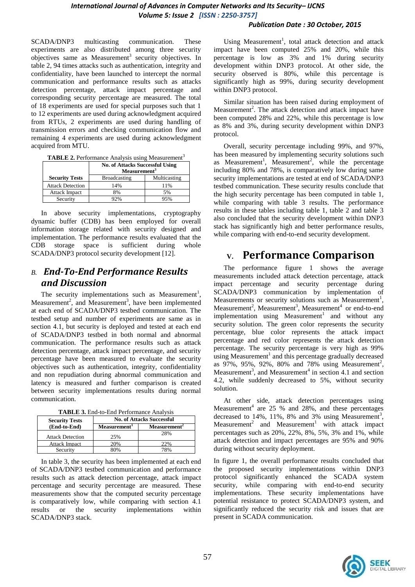#### *Publication Date : 30 October, 2015*

SCADA/DNP3 multicasting communication. These experiments are also distributed among three security objectives same as Measurement<sup>3</sup> security objectives. In table 2, 94 times attacks such as authentication, integrity and confidentiality, have been launched to intercept the normal communication and performance results such as attacks detection percentage, attack impact percentage and corresponding security percentage are measured. The total of 18 experiments are used for special purposes such that 1 to 12 experiments are used during acknowledgment acquired from RTUs, 2 experiments are used during handling of transmission errors and checking communication flow and remaining 4 experiments are used during acknowledgment acquired from MTU.

|  | <b>TABLE 2.</b> Performance Analysis using Measurement <sup>3</sup> |  |
|--|---------------------------------------------------------------------|--|
|  |                                                                     |  |

|                         | <b>No. of Attacks Successful Using</b><br>Measurement <sup>3</sup> |              |
|-------------------------|--------------------------------------------------------------------|--------------|
| <b>Security Tests</b>   | <b>Broadcasting</b>                                                | Multicasting |
| <b>Attack Detection</b> | 14%                                                                | 11%          |
| Attack Impact           | 8%                                                                 | 5%           |
| Security                | 22%                                                                | 95%          |

In above security implementations, cryptography dynamic buffer (CDB) has been employed for overall information storage related with security designed and implementation. The performance results evaluated that the CDB storage space is sufficient during whole SCADA/DNP3 protocol security development [12].

## *B. End-To-End Performance Results and Discussion*

The security implementations such as Measurement<sup>1</sup>, Measurement<sup>2</sup>, and Measurement<sup>3</sup>, have been implemented at each end of SCADA/DNP3 testbed communication. The testbed setup and number of experiments are same as in section 4.1, but security is deployed and tested at each end of SCADA/DNP3 testbed in both normal and abnormal communication. The performance results such as attack detection percentage, attack impact percentage, and security percentage have been measured to evaluate the security objectives such as authentication, integrity, confidentiality and non repudiation during abnormal communication and latency is measured and further comparison is created between security implementations results during normal communication.

| TABLE 3. End-to-End Performance Analysis |  |  |
|------------------------------------------|--|--|
|------------------------------------------|--|--|

| <b>Security Tests</b>   | <b>No. of Attacks Successful</b> |                          |
|-------------------------|----------------------------------|--------------------------|
| (End-to-End)            | Measurement <sup>1</sup>         | Measurement <sup>2</sup> |
| <b>Attack Detection</b> | 25%                              | 28%                      |
| <b>Attack Impact</b>    | 20%                              | 22%                      |
| Security                | 80%                              | 78%                      |

In table 3, the security has been implemented at each end of SCADA/DNP3 testbed communication and performance results such as attack detection percentage, attack impact percentage and security percentage are measured. These measurements show that the computed security percentage is comparatively low, while comparing with section 4.1 results or the security implementations within SCADA/DNP3 stack.

Using Measurement<sup>1</sup>, total attack detection and attack impact have been computed 25% and 20%, while this percentage is low as 3% and 1% during security development within DNP3 protocol. At other side, the security observed is  $80\%$ , while this percentage is significantly high as 99%, during security development within DNP3 protocol.

Similar situation has been raised during employment of Measurement<sup>2</sup>. The attack detection and attack impact have been computed 28% and 22%, while this percentage is low as 8% and 3%, during security development within DNP3 protocol.

Overall, security percentage including 99%, and 97%, has been measured by implementing security solutions such as Measurement<sup>1</sup>, Measurement<sup>2</sup>, while the percentage including 80% and 78%, is comparatively low during same security implementations are tested at end of SCADA/DNP3 testbed communication. These security results conclude that the high security percentage has been computed in table 1, while comparing with table 3 results. The performance results in these tables including table 1, table 2 and table 3 also concluded that the security development within DNP3 stack has significantly high and better performance results, while comparing with end-to-end security development.

## **V. Performance Comparison**

The performance figure 1 shows the average measurements included attack detection percentage, attack impact percentage and security percentage during SCADA/DNP3 communication by implementation of Measurements or security solutions such as Measurement<sup>1</sup>, Measurement<sup>2</sup>, Measurement<sup>3</sup>, Measurement<sup>4</sup> or end-to-end implementation using Measurement<sup>1</sup> and without any security solution. The green color represents the security percentage, blue color represents the attack impact percentage and red color represents the attack detection percentage. The security percentage is very high as 99% using Measurement<sup>1</sup> and this percentage gradually decreased as  $97\%$ ,  $95\%$ ,  $92\%$ ,  $80\%$  and  $78\%$  using Measurement<sup>2</sup>, Measurement<sup>3</sup>, and Measurement<sup>4</sup> in section 4.1 and section 4.2, while suddenly decreased to 5%, without security solution.

At other side, attack detection percentages using Measurement<sup>4</sup> are 25 % and 28%, and these percentages decreased to 14%, 11%, 8% and 3% using Measurement<sup>3</sup>, Measurement<sup>2</sup> and Measurement<sup>1</sup> with attack impact percentages such as 20%, 22%, 8%, 5%, 3% and 1%, while attack detection and impact percentages are 95% and 90% during without security deployment.

In figure 1, the overall performance results concluded that the proposed security implementations within DNP3 protocol significantly enhanced the SCADA system security, while comparing with end-to-end security implementations. These security implementations have potential resistance to protect SCADA/DNP3 system, and significantly reduced the security risk and issues that are present in SCADA communication.

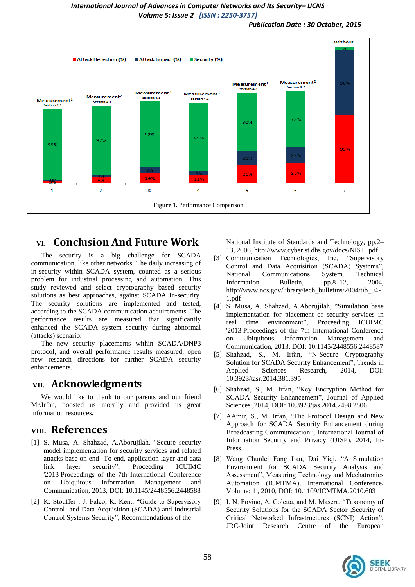*Publication Date : 30 October, 2015*



## **VI. Conclusion And Future Work**

The security is a big challenge for SCADA communication, like other networks. The daily increasing of in-security within SCADA system, counted as a serious problem for industrial processing and automation. This study reviewed and select cryptography based security solutions as best approaches, against SCADA in-security. The security solutions are implemented and tested, according to the SCADA communication acquirements. The performance results are measured that significantly enhanced the SCADA system security during abnormal (attacks) scenario.

The new security placements within SCADA/DNP3 protocol, and overall performance results measured, open new research directions for further SCADA security enhancements.

## **VII. Acknowledgments**

We would like to thank to our parents and our friend Mr.Irfan, boosted us morally and provided us great information resources**.**

## **VIII. References**

- [1] S. Musa, A. Shahzad, A.Aborujilah, "Secure security model implementation for security services and related attacks base on end- To-end, application layer and data link layer security", Proceeding ICUIMC '2013 Proceedings of the 7th International Conference on Ubiquitous Information Management and Communication, 2013, DOI: 10.1145/2448556.2448588
- [2] K. Stouffer, J. Falco, K. Kent, "Guide to Supervisory Control and Data Acquisition (SCADA) and Industrial Control Systems Security", Recommendations of the

National Institute of Standards and Technology, pp.2– 13, 2006, http://www.cyber.st.dhs.gov/docs/NIST. pdf

- [3] Communication Technologies, Inc. "Supervisory Control and Data Acquisition (SCADA) Systems" National Communications System, Technical Information Bulletin, pp.8–12, 2004, http://www.ncs.gov/library/tech\_bulletins/2004/tib\_04- 1.pdf
- [4] S. Musa, A. Shahzad, A.Aborujilah, "Simulation base implementation for placement of security services in real time environment", Proceeding ICUIMC '2013 Proceedings of the 7th International Conference on Ubiquitous Information Management and Communication, 2013, DOI: 10.1145/2448556.2448587
- [5] Shahzad, S., M. Irfan, "N-Secure Cryptography Solution for SCADA Security Enhancement", Trends in Applied Sciences Research, 2014, DOI: 10.3923/tasr.2014.381.395
- [6] Shahzad, S., M. Irfan, "Key Encryption Method for SCADA Security Enhancement", Journal of Applied Sciences ,2014, DOI: 10.3923/jas.2014.2498.2506
- [7] AAmir, S., M. Irfan, "The Protocol Design and New Approach for SCADA Security Enhancement during Broadcasting Communication", International Journal of Information Security and Privacy (IJISP), 2014, In-Press.
- [8] Wang Chunlei Fang Lan, Dai Yiqi, "A Simulation Environment for SCADA Security Analysis and Assessment", Measuring Technology and Mechatronics Automation (ICMTMA), International Conference, Volume: 1 , 2010, DOI: 10.1109/ICMTMA.2010.603
- [9] I. N. Fovino, A. Coletta, and M. Masera, "Taxonomy of Security Solutions for the SCADA Sector ,Security of Critical Networked Infrastructures (SCNI) Action", JRC-Joint Research Centre of the European